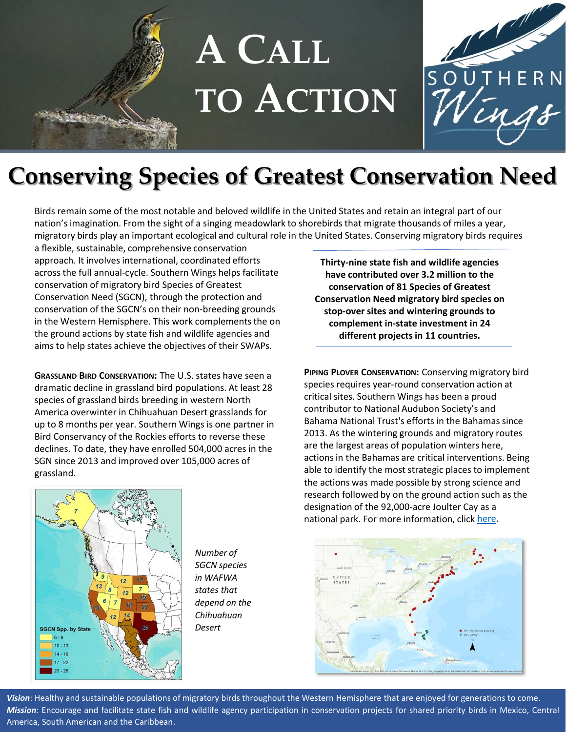



## **Conserving Species of Greatest Conservation Need**

Birds remain some of the most notable and beloved wildlife in the United States and retain an integral part of our nation's imagination. From the sight of a singing meadowlark to shorebirds that migrate thousands of miles a year, migratory birds play an important ecological and cultural role in the United States. Conserving migratory birds requires

a flexible, sustainable, comprehensive conservation approach. It involves international, coordinated efforts across the full annual-cycle. Southern Wings helps facilitate conservation of migratory bird Species of Greatest Conservation Need (SGCN), through the protection and conservation of the SGCN's on their non-breeding grounds in the Western Hemisphere. This work complements the on the ground actions by state fish and wildlife agencies and aims to help states achieve the objectives of their SWAPs.

**GRASSLAND BIRD CONSERVATION:** The U.S. states have seen a dramatic decline in grassland bird populations. At least 28 species of grassland birds breeding in western North America overwinter in Chihuahuan Desert grasslands for up to 8 months per year. Southern Wings is one partner in Bird Conservancy of the Rockies efforts to reverse these declines. To date, they have enrolled 504,000 acres in the SGN since 2013 and improved over 105,000 acres of grassland.

**Thirty-nine state fish and wildlife agencies have contributed over 3.2 million to the conservation of 81 Species of Greatest Conservation Need migratory bird species on stop-over sites and wintering grounds to complement in-state investment in 24 different projects in 11 countries.**

**PIPING PLOVER CONSERVATION:** Conserving migratory bird species requires year-round conservation action at critical sites. Southern Wings has been a proud contributor to National Audubon Society's and Bahama National Trust's efforts in the Bahamas since 2013. As the wintering grounds and migratory routes are the largest areas of population winters here, actions in the Bahamas are critical interventions. Being able to identify the most strategic places to implement the actions was made possible by strong science and research followed by on the ground action such as the designation of the 92,000-acre Joulter Cay as a national park. For more information, click [here.](https://www.fishwildlife.org/download_file/view/2311/387)





*Number of SGCN species in WAFWA states that depend on the Chihuahuan Desert*

*Vision*: Healthy and sustainable populations of migratory birds throughout the Western Hemisphere that are enjoyed for generations to come. *Mission*: Encourage and facilitate state fish and wildlife agency participation in conservation projects for shared priority birds in Mexico, Central America, South American and the Caribbean.